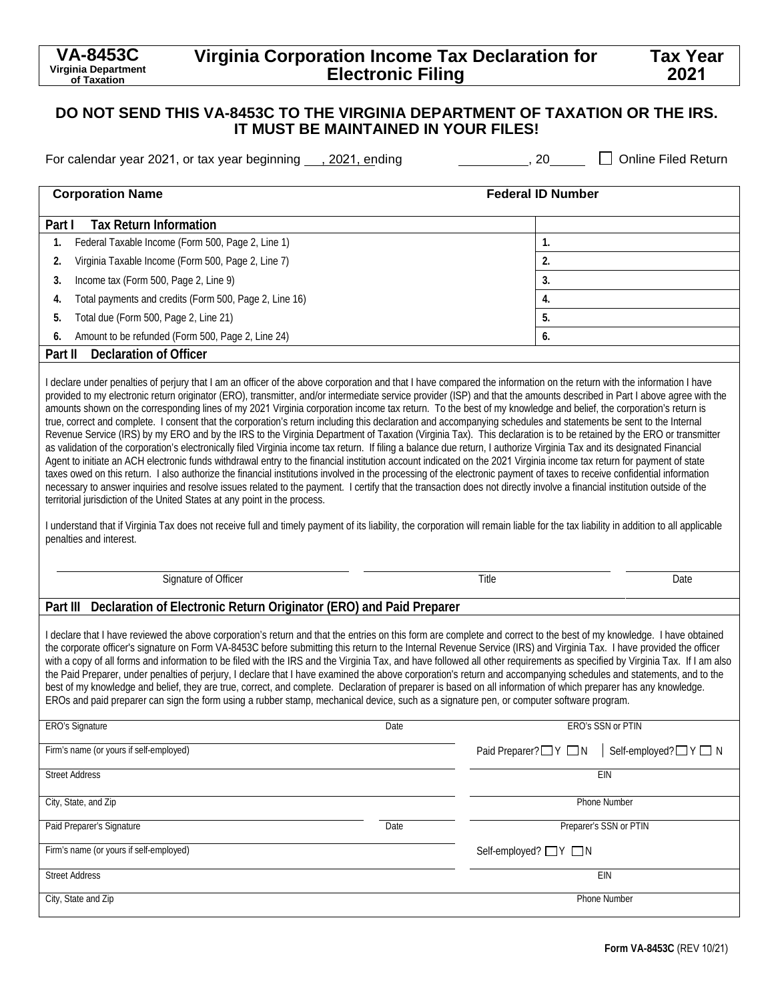# **Virginia Corporation Income Tax Declaration for Electronic Filing**

## **Tax Year 2021**

## **DO NOT SEND THIS VA-8453C TO THE VIRGINIA DEPARTMENT OF TAXATION OR THE IRS. IT MUST BE MAINTAINED IN YOUR FILES!**

For calendar year 2021, or tax year beginning  $\Box$ , 2021, ending  $\Box$  , 20  $\Box$  Online Filed Return

| <b>Corporation Name</b>                                                                                                                                                                                                                                                                                                                                                                                                                                                                                                                                                                                                                                                                                                                                                                                                                                                                                                                                                                                                                                                                                                                                                                                                                                                                                                                                                                                                                                                                                                 | <b>Federal ID Number</b>                  |
|-------------------------------------------------------------------------------------------------------------------------------------------------------------------------------------------------------------------------------------------------------------------------------------------------------------------------------------------------------------------------------------------------------------------------------------------------------------------------------------------------------------------------------------------------------------------------------------------------------------------------------------------------------------------------------------------------------------------------------------------------------------------------------------------------------------------------------------------------------------------------------------------------------------------------------------------------------------------------------------------------------------------------------------------------------------------------------------------------------------------------------------------------------------------------------------------------------------------------------------------------------------------------------------------------------------------------------------------------------------------------------------------------------------------------------------------------------------------------------------------------------------------------|-------------------------------------------|
| <b>Tax Return Information</b><br>Part I                                                                                                                                                                                                                                                                                                                                                                                                                                                                                                                                                                                                                                                                                                                                                                                                                                                                                                                                                                                                                                                                                                                                                                                                                                                                                                                                                                                                                                                                                 |                                           |
| Federal Taxable Income (Form 500, Page 2, Line 1)<br>1.                                                                                                                                                                                                                                                                                                                                                                                                                                                                                                                                                                                                                                                                                                                                                                                                                                                                                                                                                                                                                                                                                                                                                                                                                                                                                                                                                                                                                                                                 | 1.                                        |
| Virginia Taxable Income (Form 500, Page 2, Line 7)<br>2.                                                                                                                                                                                                                                                                                                                                                                                                                                                                                                                                                                                                                                                                                                                                                                                                                                                                                                                                                                                                                                                                                                                                                                                                                                                                                                                                                                                                                                                                | 2.                                        |
| Income tax (Form 500, Page 2, Line 9)<br>3.                                                                                                                                                                                                                                                                                                                                                                                                                                                                                                                                                                                                                                                                                                                                                                                                                                                                                                                                                                                                                                                                                                                                                                                                                                                                                                                                                                                                                                                                             | 3.                                        |
| Total payments and credits (Form 500, Page 2, Line 16)<br>4.                                                                                                                                                                                                                                                                                                                                                                                                                                                                                                                                                                                                                                                                                                                                                                                                                                                                                                                                                                                                                                                                                                                                                                                                                                                                                                                                                                                                                                                            | 4.                                        |
| Total due (Form 500, Page 2, Line 21)<br>5.                                                                                                                                                                                                                                                                                                                                                                                                                                                                                                                                                                                                                                                                                                                                                                                                                                                                                                                                                                                                                                                                                                                                                                                                                                                                                                                                                                                                                                                                             | 5.                                        |
| Amount to be refunded (Form 500, Page 2, Line 24)<br>6.                                                                                                                                                                                                                                                                                                                                                                                                                                                                                                                                                                                                                                                                                                                                                                                                                                                                                                                                                                                                                                                                                                                                                                                                                                                                                                                                                                                                                                                                 | 6.                                        |
| <b>Declaration of Officer</b><br>Part II                                                                                                                                                                                                                                                                                                                                                                                                                                                                                                                                                                                                                                                                                                                                                                                                                                                                                                                                                                                                                                                                                                                                                                                                                                                                                                                                                                                                                                                                                |                                           |
| amounts shown on the corresponding lines of my 2021 Virginia corporation income tax return. To the best of my knowledge and belief, the corporation's return is<br>true, correct and complete. I consent that the corporation's return including this declaration and accompanying schedules and statements be sent to the Internal<br>Revenue Service (IRS) by my ERO and by the IRS to the Virginia Department of Taxation (Virginia Tax). This declaration is to be retained by the ERO or transmitter<br>as validation of the corporation's electronically filed Virginia income tax return. If filing a balance due return, I authorize Virginia Tax and its designated Financial<br>Agent to initiate an ACH electronic funds withdrawal entry to the financial institution account indicated on the 2021 Virginia income tax return for payment of state<br>taxes owed on this return. I also authorize the financial institutions involved in the processing of the electronic payment of taxes to receive confidential information<br>necessary to answer inquiries and resolve issues related to the payment. I certify that the transaction does not directly involve a financial institution outside of the<br>territorial jurisdiction of the United States at any point in the process.<br>I understand that if Virginia Tax does not receive full and timely payment of its liability, the corporation will remain liable for the tax liability in addition to all applicable<br>penalties and interest. |                                           |
| Signature of Officer                                                                                                                                                                                                                                                                                                                                                                                                                                                                                                                                                                                                                                                                                                                                                                                                                                                                                                                                                                                                                                                                                                                                                                                                                                                                                                                                                                                                                                                                                                    | Title<br>Date                             |
| Part III Declaration of Electronic Return Originator (ERO) and Paid Preparer                                                                                                                                                                                                                                                                                                                                                                                                                                                                                                                                                                                                                                                                                                                                                                                                                                                                                                                                                                                                                                                                                                                                                                                                                                                                                                                                                                                                                                            |                                           |
| I declare that I have reviewed the above corporation's return and that the entries on this form are complete and correct to the best of my knowledge. I have obtained<br>the corporate officer's signature on Form VA-8453C before submitting this return to the Internal Revenue Service (IRS) and Virginia Tax. I have provided the officer<br>with a copy of all forms and information to be filed with the IRS and the Virginia Tax, and have followed all other requirements as specified by Virginia Tax. If I am also<br>the Paid Preparer, under penalties of perjury, I declare that I have examined the above corporation's return and accompanying schedules and statements, and to the<br>best of my knowledge and belief, they are true, correct, and complete. Declaration of preparer is based on all information of which preparer has any knowledge.<br>EROs and paid preparer can sign the form using a rubber stamp, mechanical device, such as a signature pen, or computer software program.                                                                                                                                                                                                                                                                                                                                                                                                                                                                                                       |                                           |
| ERO's Signature<br>Date                                                                                                                                                                                                                                                                                                                                                                                                                                                                                                                                                                                                                                                                                                                                                                                                                                                                                                                                                                                                                                                                                                                                                                                                                                                                                                                                                                                                                                                                                                 | ERO's SSN or PTIN                         |
| Firm's name (or yours if self-employed)                                                                                                                                                                                                                                                                                                                                                                                                                                                                                                                                                                                                                                                                                                                                                                                                                                                                                                                                                                                                                                                                                                                                                                                                                                                                                                                                                                                                                                                                                 | Paid Preparer?□Y □N<br>Self-employed?□Y□N |
| <b>Street Address</b>                                                                                                                                                                                                                                                                                                                                                                                                                                                                                                                                                                                                                                                                                                                                                                                                                                                                                                                                                                                                                                                                                                                                                                                                                                                                                                                                                                                                                                                                                                   | EIN                                       |
| City, State, and Zip                                                                                                                                                                                                                                                                                                                                                                                                                                                                                                                                                                                                                                                                                                                                                                                                                                                                                                                                                                                                                                                                                                                                                                                                                                                                                                                                                                                                                                                                                                    | Phone Number                              |
| Paid Preparer's Signature<br>Date                                                                                                                                                                                                                                                                                                                                                                                                                                                                                                                                                                                                                                                                                                                                                                                                                                                                                                                                                                                                                                                                                                                                                                                                                                                                                                                                                                                                                                                                                       | Preparer's SSN or PTIN                    |
| Firm's name (or yours if self-employed)                                                                                                                                                                                                                                                                                                                                                                                                                                                                                                                                                                                                                                                                                                                                                                                                                                                                                                                                                                                                                                                                                                                                                                                                                                                                                                                                                                                                                                                                                 | Self-employed? ■Y ■N                      |
| <b>Street Address</b>                                                                                                                                                                                                                                                                                                                                                                                                                                                                                                                                                                                                                                                                                                                                                                                                                                                                                                                                                                                                                                                                                                                                                                                                                                                                                                                                                                                                                                                                                                   | EIN                                       |
| City, State and Zip                                                                                                                                                                                                                                                                                                                                                                                                                                                                                                                                                                                                                                                                                                                                                                                                                                                                                                                                                                                                                                                                                                                                                                                                                                                                                                                                                                                                                                                                                                     | Phone Number                              |